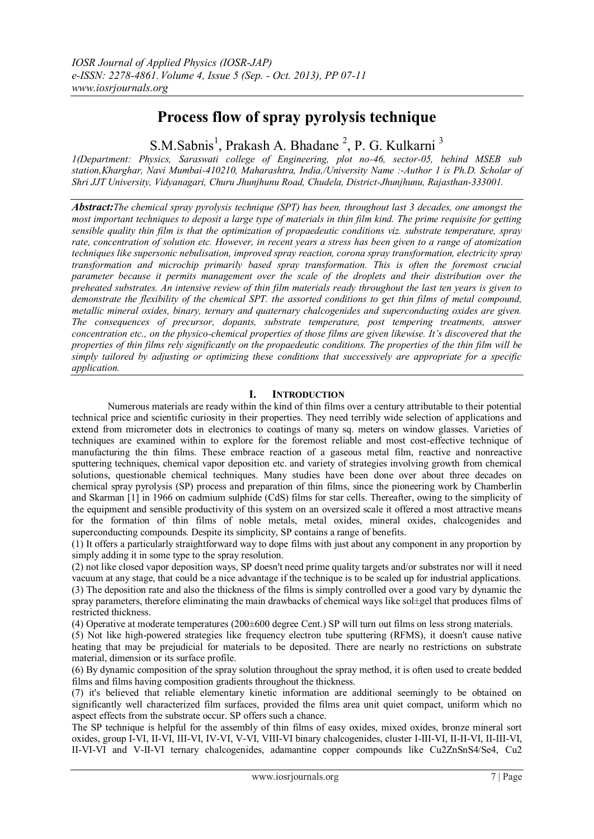# **Process flow of spray pyrolysis technique**

S.M.Sabnis<sup>1</sup>, Prakash A. Bhadane<sup>2</sup>, P. G. Kulkarni<sup>3</sup>

*1(Department: Physics, Saraswati college of Engineering, plot no-46, sector-05, behind MSEB sub station,Kharghar, Navi Mumbai-410210, Maharashtra, India,/University Name :-Author 1 is Ph.D. Scholar of Shri JJT University, Vidyanagari, Churu Jhunjhunu Road, Chudela, District-Jhunjhunu, Rajasthan-333001.*

*Abstract:The chemical spray pyrolysis technique (SPT) has been, throughout last 3 decades, one amongst the most important techniques to deposit a large type of materials in thin film kind. The prime requisite for getting sensible quality thin film is that the optimization of propaedeutic conditions viz. substrate temperature, spray rate, concentration of solution etc. However, in recent years a stress has been given to a range of atomization techniques like supersonic nebulisation, improved spray reaction, corona spray transformation, electricity spray transformation and microchip primarily based spray transformation. This is often the foremost crucial parameter because it permits management over the scale of the droplets and their distribution over the preheated substrates. An intensive review of thin film materials ready throughout the last ten years is given to demonstrate the flexibility of the chemical SPT. the assorted conditions to get thin films of metal compound, metallic mineral oxides, binary, ternary and quaternary chalcogenides and superconducting oxides are given. The consequences of precursor, dopants, substrate temperature, post tempering treatments, answer concentration etc., on the physico-chemical properties of those films are given likewise. It's discovered that the properties of thin films rely significantly on the propaedeutic conditions. The properties of the thin film will be simply tailored by adjusting or optimizing these conditions that successively are appropriate for a specific application.*

# **I. INTRODUCTION**

Numerous materials are ready within the kind of thin films over a century attributable to their potential technical price and scientific curiosity in their properties. They need terribly wide selection of applications and extend from micrometer dots in electronics to coatings of many sq. meters on window glasses. Varieties of techniques are examined within to explore for the foremost reliable and most cost-effective technique of manufacturing the thin films. These embrace reaction of a gaseous metal film, reactive and nonreactive sputtering techniques, chemical vapor deposition etc. and variety of strategies involving growth from chemical solutions, questionable chemical techniques. Many studies have been done over about three decades on chemical spray pyrolysis (SP) process and preparation of thin films, since the pioneering work by Chamberlin and Skarman [1] in 1966 on cadmium sulphide (CdS) films for star cells. Thereafter, owing to the simplicity of the equipment and sensible productivity of this system on an oversized scale it offered a most attractive means for the formation of thin films of noble metals, metal oxides, mineral oxides, chalcogenides and superconducting compounds. Despite its simplicity, SP contains a range of benefits.

(1) It offers a particularly straightforward way to dope films with just about any component in any proportion by simply adding it in some type to the spray resolution.

(2) not like closed vapor deposition ways, SP doesn't need prime quality targets and/or substrates nor will it need vacuum at any stage, that could be a nice advantage if the technique is to be scaled up for industrial applications. (3) The deposition rate and also the thickness of the films is simply controlled over a good vary by dynamic the spray parameters, therefore eliminating the main drawbacks of chemical ways like sol±gel that produces films of restricted thickness.

(4) Operative at moderate temperatures (200±600 degree Cent.) SP will turn out films on less strong materials.

(5) Not like high-powered strategies like frequency electron tube sputtering (RFMS), it doesn't cause native heating that may be prejudicial for materials to be deposited. There are nearly no restrictions on substrate material, dimension or its surface profile.

(6) By dynamic composition of the spray solution throughout the spray method, it is often used to create bedded films and films having composition gradients throughout the thickness.

(7) it's believed that reliable elementary kinetic information are additional seemingly to be obtained on significantly well characterized film surfaces, provided the films area unit quiet compact, uniform which no aspect effects from the substrate occur. SP offers such a chance.

The SP technique is helpful for the assembly of thin films of easy oxides, mixed oxides, bronze mineral sort oxides, group I-VI, II-VI, III-VI, IV-VI, V-VI, VIII-VI binary chalcogenides, cluster I-III-VI, II-II-VI, II-III-VI, II-VI-VI and V-II-VI ternary chalcogenides, adamantine copper compounds like Cu2ZnSnS4/Se4, Cu2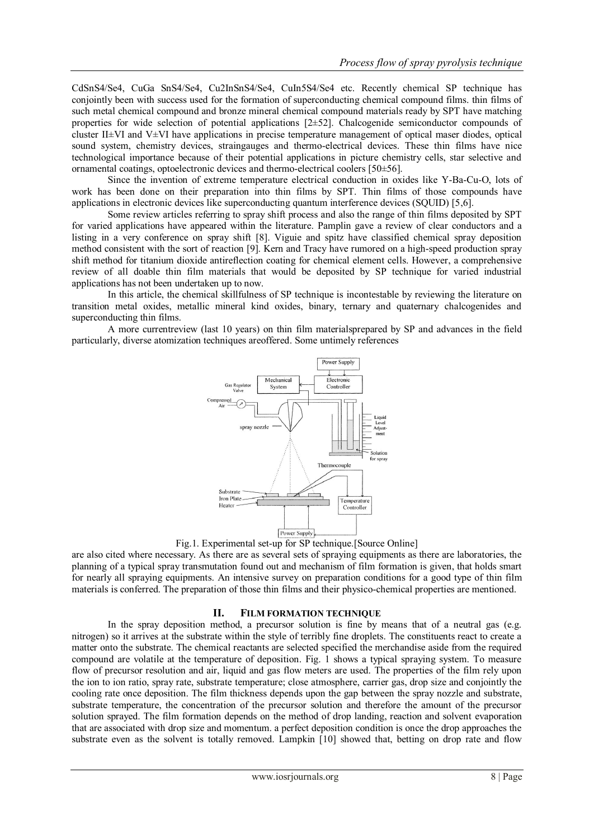CdSnS4/Se4, CuGa SnS4/Se4, Cu2InSnS4/Se4, CuIn5S4/Se4 etc. Recently chemical SP technique has conjointly been with success used for the formation of superconducting chemical compound films. thin films of such metal chemical compound and bronze mineral chemical compound materials ready by SPT have matching properties for wide selection of potential applications  $[2\pm 52]$ . Chalcogenide semiconductor compounds of cluster II±VI and V±VI have applications in precise temperature management of optical maser diodes, optical sound system, chemistry devices, straingauges and thermo-electrical devices. These thin films have nice technological importance because of their potential applications in picture chemistry cells, star selective and ornamental coatings, optoelectronic devices and thermo-electrical coolers [50±56].

Since the invention of extreme temperature electrical conduction in oxides like Y-Ba-Cu-O, lots of work has been done on their preparation into thin films by SPT. Thin films of those compounds have applications in electronic devices like superconducting quantum interference devices (SQUID) [5,6].

Some review articles referring to spray shift process and also the range of thin films deposited by SPT for varied applications have appeared within the literature. Pamplin gave a review of clear conductors and a listing in a very conference on spray shift [8]. Viguie and spitz have classified chemical spray deposition method consistent with the sort of reaction [9]. Kern and Tracy have rumored on a high-speed production spray shift method for titanium dioxide antireflection coating for chemical element cells. However, a comprehensive review of all doable thin film materials that would be deposited by SP technique for varied industrial applications has not been undertaken up to now.

In this article, the chemical skillfulness of SP technique is incontestable by reviewing the literature on transition metal oxides, metallic mineral kind oxides, binary, ternary and quaternary chalcogenides and superconducting thin films.

A more currentreview (last 10 years) on thin film materialsprepared by SP and advances in the field particularly, diverse atomization techniques areoffered. Some untimely references



Fig.1. Experimental set-up for SP technique.[Source Online]

are also cited where necessary. As there are as several sets of spraying equipments as there are laboratories, the planning of a typical spray transmutation found out and mechanism of film formation is given, that holds smart for nearly all spraying equipments. An intensive survey on preparation conditions for a good type of thin film materials is conferred. The preparation of those thin films and their physico-chemical properties are mentioned.

### **II. FILM FORMATION TECHNIQUE**

In the spray deposition method, a precursor solution is fine by means that of a neutral gas (e.g. nitrogen) so it arrives at the substrate within the style of terribly fine droplets. The constituents react to create a matter onto the substrate. The chemical reactants are selected specified the merchandise aside from the required compound are volatile at the temperature of deposition. Fig. 1 shows a typical spraying system. To measure flow of precursor resolution and air, liquid and gas flow meters are used. The properties of the film rely upon the ion to ion ratio, spray rate, substrate temperature; close atmosphere, carrier gas, drop size and conjointly the cooling rate once deposition. The film thickness depends upon the gap between the spray nozzle and substrate, substrate temperature, the concentration of the precursor solution and therefore the amount of the precursor solution sprayed. The film formation depends on the method of drop landing, reaction and solvent evaporation that are associated with drop size and momentum. a perfect deposition condition is once the drop approaches the substrate even as the solvent is totally removed. Lampkin [10] showed that, betting on drop rate and flow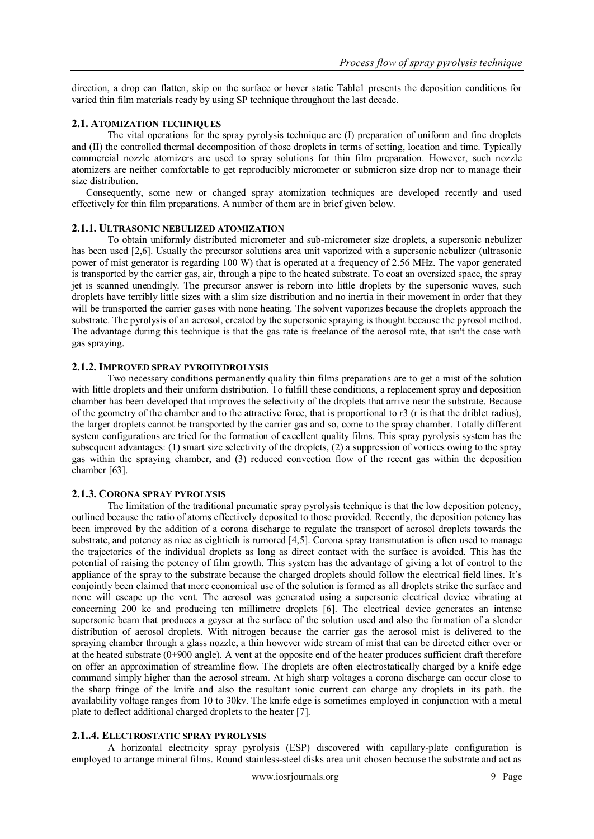direction, a drop can flatten, skip on the surface or hover static Table1 presents the deposition conditions for varied thin film materials ready by using SP technique throughout the last decade.

## **2.1. ATOMIZATION TECHNIQUES**

The vital operations for the spray pyrolysis technique are (I) preparation of uniform and fine droplets and (II) the controlled thermal decomposition of those droplets in terms of setting, location and time. Typically commercial nozzle atomizers are used to spray solutions for thin film preparation. However, such nozzle atomizers are neither comfortable to get reproducibly micrometer or submicron size drop nor to manage their size distribution.

Consequently, some new or changed spray atomization techniques are developed recently and used effectively for thin film preparations. A number of them are in brief given below.

# **2.1.1. ULTRASONIC NEBULIZED ATOMIZATION**

To obtain uniformly distributed micrometer and sub-micrometer size droplets, a supersonic nebulizer has been used [2,6]. Usually the precursor solutions area unit vaporized with a supersonic nebulizer (ultrasonic power of mist generator is regarding 100 W) that is operated at a frequency of 2.56 MHz. The vapor generated is transported by the carrier gas, air, through a pipe to the heated substrate. To coat an oversized space, the spray jet is scanned unendingly. The precursor answer is reborn into little droplets by the supersonic waves, such droplets have terribly little sizes with a slim size distribution and no inertia in their movement in order that they will be transported the carrier gases with none heating. The solvent vaporizes because the droplets approach the substrate. The pyrolysis of an aerosol, created by the supersonic spraying is thought because the pyrosol method. The advantage during this technique is that the gas rate is freelance of the aerosol rate, that isn't the case with gas spraying.

# **2.1.2. IMPROVED SPRAY PYROHYDROLYSIS**

Two necessary conditions permanently quality thin films preparations are to get a mist of the solution with little droplets and their uniform distribution. To fulfill these conditions, a replacement spray and deposition chamber has been developed that improves the selectivity of the droplets that arrive near the substrate. Because of the geometry of the chamber and to the attractive force, that is proportional to r3 (r is that the driblet radius), the larger droplets cannot be transported by the carrier gas and so, come to the spray chamber. Totally different system configurations are tried for the formation of excellent quality films. This spray pyrolysis system has the subsequent advantages: (1) smart size selectivity of the droplets, (2) a suppression of vortices owing to the spray gas within the spraying chamber, and (3) reduced convection flow of the recent gas within the deposition chamber [63].

## **2.1.3. CORONA SPRAY PYROLYSIS**

The limitation of the traditional pneumatic spray pyrolysis technique is that the low deposition potency, outlined because the ratio of atoms effectively deposited to those provided. Recently, the deposition potency has been improved by the addition of a corona discharge to regulate the transport of aerosol droplets towards the substrate, and potency as nice as eightieth is rumored [4,5]. Corona spray transmutation is often used to manage the trajectories of the individual droplets as long as direct contact with the surface is avoided. This has the potential of raising the potency of film growth. This system has the advantage of giving a lot of control to the appliance of the spray to the substrate because the charged droplets should follow the electrical field lines. It's conjointly been claimed that more economical use of the solution is formed as all droplets strike the surface and none will escape up the vent. The aerosol was generated using a supersonic electrical device vibrating at concerning 200 kc and producing ten millimetre droplets [6]. The electrical device generates an intense supersonic beam that produces a geyser at the surface of the solution used and also the formation of a slender distribution of aerosol droplets. With nitrogen because the carrier gas the aerosol mist is delivered to the spraying chamber through a glass nozzle, a thin however wide stream of mist that can be directed either over or at the heated substrate ( $0\pm900$  angle). A vent at the opposite end of the heater produces sufficient draft therefore on offer an approximation of streamline flow. The droplets are often electrostatically charged by a knife edge command simply higher than the aerosol stream. At high sharp voltages a corona discharge can occur close to the sharp fringe of the knife and also the resultant ionic current can charge any droplets in its path. the availability voltage ranges from 10 to 30kv. The knife edge is sometimes employed in conjunction with a metal plate to deflect additional charged droplets to the heater [7].

# **2.1..4. ELECTROSTATIC SPRAY PYROLYSIS**

A horizontal electricity spray pyrolysis (ESP) discovered with capillary-plate configuration is employed to arrange mineral films. Round stainless-steel disks area unit chosen because the substrate and act as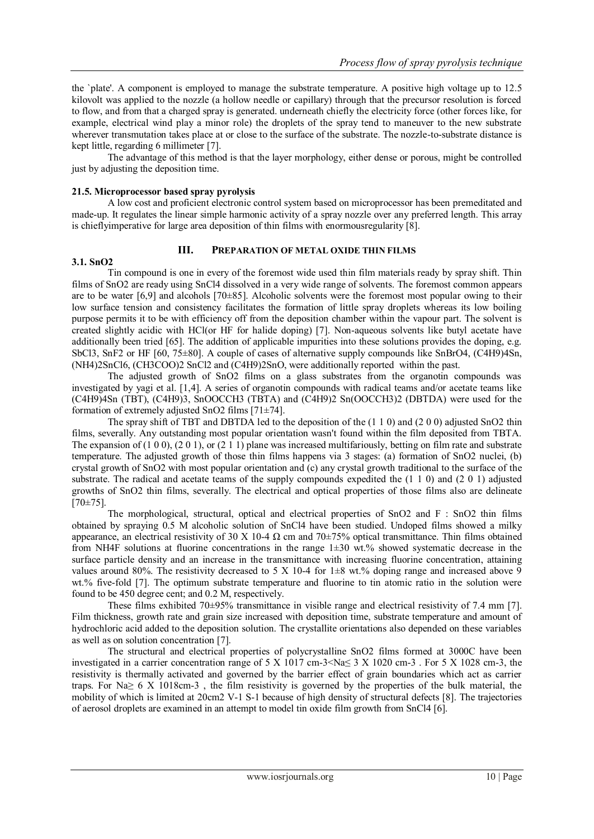the `plate'. A component is employed to manage the substrate temperature. A positive high voltage up to 12.5 kilovolt was applied to the nozzle (a hollow needle or capillary) through that the precursor resolution is forced to flow, and from that a charged spray is generated. underneath chiefly the electricity force (other forces like, for example, electrical wind play a minor role) the droplets of the spray tend to maneuver to the new substrate wherever transmutation takes place at or close to the surface of the substrate. The nozzle-to-substrate distance is kept little, regarding 6 millimeter [7].

The advantage of this method is that the layer morphology, either dense or porous, might be controlled just by adjusting the deposition time.

## **21.5. Microprocessor based spray pyrolysis**

A low cost and proficient electronic control system based on microprocessor has been premeditated and made-up. It regulates the linear simple harmonic activity of a spray nozzle over any preferred length. This array is chieflyimperative for large area deposition of thin films with enormousregularity [8].

## **3.1. SnO2**

### **III. PREPARATION OF METAL OXIDE THIN FILMS**

Tin compound is one in every of the foremost wide used thin film materials ready by spray shift. Thin films of SnO2 are ready using SnCl4 dissolved in a very wide range of solvents. The foremost common appears are to be water  $[6,9]$  and alcohols  $[70\pm85]$ . Alcoholic solvents were the foremost most popular owing to their low surface tension and consistency facilitates the formation of little spray droplets whereas its low boiling purpose permits it to be with efficiency off from the deposition chamber within the vapour part. The solvent is created slightly acidic with HCl(or HF for halide doping) [7]. Non-aqueous solvents like butyl acetate have additionally been tried [65]. The addition of applicable impurities into these solutions provides the doping, e.g. SbCl3, SnF2 or HF [60, 75±80]. A couple of cases of alternative supply compounds like SnBrO4, (C4H9)4Sn, (NH4)2SnCl6, (CH3COO)2 SnCl2 and (C4H9)2SnO, were additionally reported within the past.

The adjusted growth of SnO2 films on a glass substrates from the organotin compounds was investigated by yagi et al. [1,4]. A series of organotin compounds with radical teams and/or acetate teams like (C4H9)4Sn (TBT), (C4H9)3, SnOOCCH3 (TBTA) and (C4H9)2 Sn(OOCCH3)2 (DBTDA) were used for the formation of extremely adjusted SnO2 films [71±74].

The spray shift of TBT and DBTDA led to the deposition of the  $(1\ 1\ 0)$  and  $(2\ 0\ 0)$  adjusted SnO2 thin films, severally. Any outstanding most popular orientation wasn't found within the film deposited from TBTA. The expansion of  $(1 0 0)$ ,  $(2 0 1)$ , or  $(2 1 1)$  plane was increased multifariously, betting on film rate and substrate temperature. The adjusted growth of those thin films happens via 3 stages: (a) formation of SnO2 nuclei, (b) crystal growth of SnO2 with most popular orientation and (c) any crystal growth traditional to the surface of the substrate. The radical and acetate teams of the supply compounds expedited the (1 1 0) and (2 0 1) adjusted growths of SnO2 thin films, severally. The electrical and optical properties of those films also are delineate  $[70 \pm 75]$ .

The morphological, structural, optical and electrical properties of SnO2 and F : SnO2 thin films obtained by spraying 0.5 M alcoholic solution of SnCl4 have been studied. Undoped films showed a milky appearance, an electrical resistivity of 30 X 10-4  $\Omega$  cm and 70 $\pm$ 75% optical transmittance. Thin films obtained from NH4F solutions at fluorine concentrations in the range  $1\pm30$  wt.% showed systematic decrease in the surface particle density and an increase in the transmittance with increasing fluorine concentration, attaining values around 80%. The resistivity decreased to 5 X 10-4 for 1 $\pm$ 8 wt.% doping range and increased above 9 wt.% five-fold [7]. The optimum substrate temperature and fluorine to tin atomic ratio in the solution were found to be 450 degree cent; and 0.2 M, respectively.

These films exhibited 70±95% transmittance in visible range and electrical resistivity of 7.4 mm [7]. Film thickness, growth rate and grain size increased with deposition time, substrate temperature and amount of hydrochloric acid added to the deposition solution. The crystallite orientations also depended on these variables as well as on solution concentration [7].

The structural and electrical properties of polycrystalline SnO2 films formed at 3000C have been investigated in a carrier concentration range of 5 X 1017 cm-3  $\&$  Na $\leq$  3 X 1020 cm-3. For 5 X 1028 cm-3, the resistivity is thermally activated and governed by the barrier effect of grain boundaries which act as carrier traps. For Na≥ 6 X 1018cm-3, the film resistivity is governed by the properties of the bulk material, the mobility of which is limited at 20cm2 V-1 S-1 because of high density of structural defects [8]. The trajectories of aerosol droplets are examined in an attempt to model tin oxide film growth from SnCl4 [6].